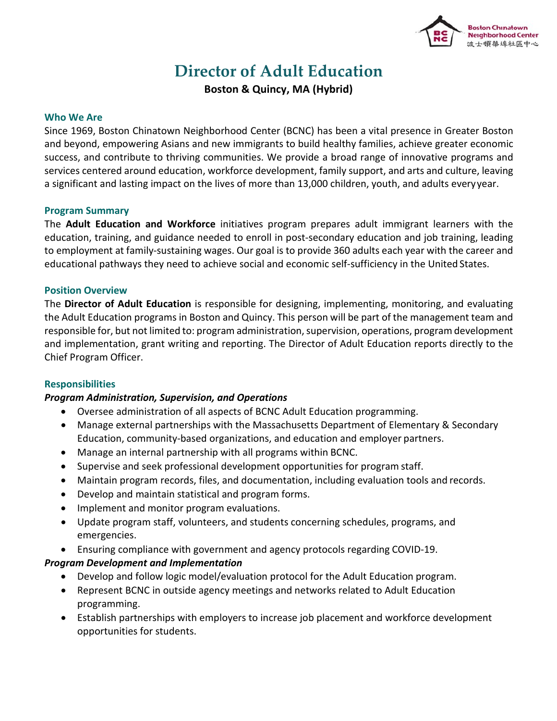

# **Director of Adult Education**

**Boston & Quincy, MA (Hybrid)**

#### **Who We Are**

Since 1969, Boston Chinatown Neighborhood Center (BCNC) has been a vital presence in Greater Boston and beyond, empowering Asians and new immigrants to build healthy families, achieve greater economic success, and contribute to thriving communities. We provide a broad range of innovative programs and services centered around education, workforce development, family support, and arts and culture, leaving a significant and lasting impact on the lives of more than 13,000 children, youth, and adults everyyear.

## **Program Summary**

The **Adult Education and Workforce** initiatives program prepares adult immigrant learners with the education, training, and guidance needed to enroll in post-secondary education and job training, leading to employment at family-sustaining wages. Our goal is to provide 360 adults each year with the career and educational pathways they need to achieve social and economic self-sufficiency in the United States.

## **Position Overview**

The **Director of Adult Education** is responsible for designing, implementing, monitoring, and evaluating the Adult Education programs in Boston and Quincy. This person will be part of the management team and responsible for, but not limited to: program administration, supervision, operations, program development and implementation, grant writing and reporting. The Director of Adult Education reports directly to the Chief Program Officer.

# **Responsibilities**

# *Program Administration, Supervision, and Operations*

- Oversee administration of all aspects of BCNC Adult Education programming.
- Manage external partnerships with the Massachusetts Department of Elementary & Secondary Education, community-based organizations, and education and employer partners.
- Manage an internal partnership with all programs within BCNC.
- Supervise and seek professional development opportunities for program staff.
- Maintain program records, files, and documentation, including evaluation tools and records.
- Develop and maintain statistical and program forms.
- Implement and monitor program evaluations.
- Update program staff, volunteers, and students concerning schedules, programs, and emergencies.
- Ensuring compliance with government and agency protocols regarding COVID-19.

# *Program Development and Implementation*

- Develop and follow logic model/evaluation protocol for the Adult Education program.
- Represent BCNC in outside agency meetings and networks related to Adult Education programming.
- Establish partnerships with employers to increase job placement and workforce development opportunities for students.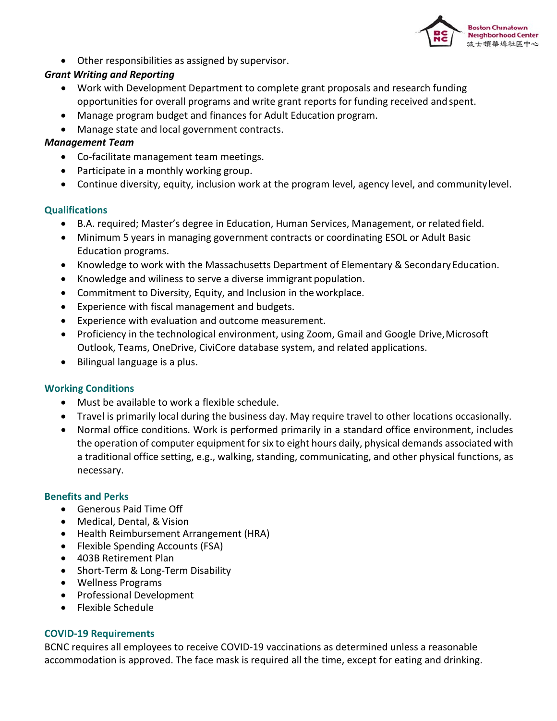

• Other responsibilities as assigned by supervisor.

# *Grant Writing and Reporting*

- Work with Development Department to complete grant proposals and research funding opportunities for overall programs and write grant reports for funding received andspent.
- Manage program budget and finances for Adult Education program.
- Manage state and local government contracts.

# *Management Team*

- Co-facilitate management team meetings.
- Participate in a monthly working group.
- Continue diversity, equity, inclusion work at the program level, agency level, and communitylevel.

# **Qualifications**

- B.A. required; Master's degree in Education, Human Services, Management, or related field.
- Minimum 5 years in managing government contracts or coordinating ESOL or Adult Basic Education programs.
- Knowledge to work with the Massachusetts Department of Elementary & Secondary Education.
- Knowledge and wiliness to serve a diverse immigrant population.
- Commitment to Diversity, Equity, and Inclusion in the workplace.
- Experience with fiscal management and budgets.
- Experience with evaluation and outcome measurement.
- Proficiency in the technological environment, using Zoom, Gmail and Google Drive, Microsoft Outlook, Teams, OneDrive, CiviCore database system, and related applications.
- Bilingual language is a plus.

# **Working Conditions**

- Must be available to work a flexible schedule.
- Travel is primarily local during the business day. May require travel to other locations occasionally.
- Normal office conditions. Work is performed primarily in a standard office environment, includes the operation of computer equipment forsix to eight hours daily, physical demands associated with a traditional office setting, e.g., walking, standing, communicating, and other physical functions, as necessary.

# **Benefits and Perks**

- Generous Paid Time Off
- Medical, Dental, & Vision
- Health Reimbursement Arrangement (HRA)
- Flexible Spending Accounts (FSA)
- 403B Retirement Plan
- Short-Term & Long-Term Disability
- Wellness Programs
- Professional Development
- Flexible Schedule

# **COVID-19 Requirements**

BCNC requires all employees to receive COVID-19 vaccinations as determined unless a reasonable accommodation is approved. The face mask is required all the time, except for eating and drinking.